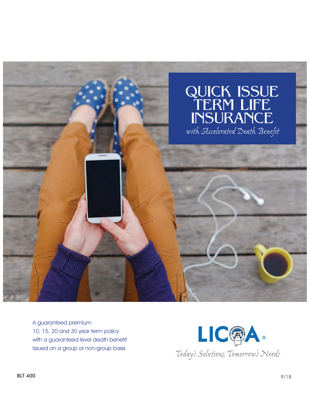

A guaranteed premium 10, 15, 20 and 30 year term policy with a guaranteed level death benefit Issued on a group or non-group basis

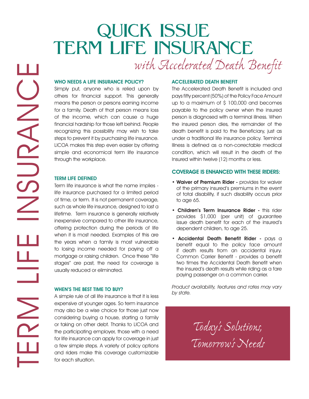## QUICK ISSUE TERM LIFE INSURANCE with Accelerated Death Benefit

WHO NEEDS A LIFE INSURANCE POLICY?

Simply put, anyone who is relied upon by others for financial support. This generally means the person or persons earning income for a family. Death of that person means loss of the income, which can cause a huge financial hardship for those left behind. People recognizing this possibility may wish to take steps to prevent it by purchasing life insurance. LICOA makes this step even easier by offering simple and economical term life insurance through the workplace.

#### TERM LIFE DEFINED

Term life insurance is what the name implies life insurance purchased for a limited period of time, or term. It is not permanent coverage, such as whole life insurance, designed to last a lifetime. Term insurance is generally relatively inexpensive compared to other life insurance, offering protection during the periods of life when it is most needed. Examples of this are the years when a family is most vulnerable to losing income needed for paying off a mortgage or raising children. Once these "life stages" are past, the need for coverage is usually reduced or eliminated.

#### WHEN'S THE BEST TIME TO BUY?

A simple rule of all life insurance is that it is less expensive at younger ages. So term insurance may also be a wise choice for those just now considering buying a house, starting a family or taking on other debt. Thanks to LICOA and the participating employer, those with a need for life insurance can apply for coverage in just a few simple steps. A variety of policy options and riders make this coverage customizable for each situation.

#### ACCELERATED DEATH BENEFIT

The Accelerated Death Benefit is included and pays fifty percent (50%) of the Policy Face Amount up to a maximum of \$ 100,000 and becomes payable to the policy owner when the insured person is diagnosed with a terminal illness. When the insured person dies, the remainder of the death benefit is paid to the Beneficiary, just as under a traditional life insurance policy. Terminal Illness is defined as a non-correctable medical condition, which will result in the death of the Insured within twelve (12) months or less.

#### COVERAGE IS ENHANCED WITH THESE RIDERS:

- Waiver of Premium Rider provides for waiver of the primary insured's premiums in the event of total disability, if such disability occurs prior to age 65.
- Children's Term Insurance Rider this rider provides \$1,000 (per unit) of guarantee issue death benefit for each of the insured's dependent children, to age 25.
- Accidental Death Benefit Rider pays a benefit equal to the policy face amount if death results from an accidental injury. Common Carrier Benefit - provides a benefit two times the Accidental Death Benefit when the insured's death results while riding as a fare paying passenger on a common carrier.

*Product availability, features and rates may vary by state.*

> *Today's Solutions, Tomorrow's Needs*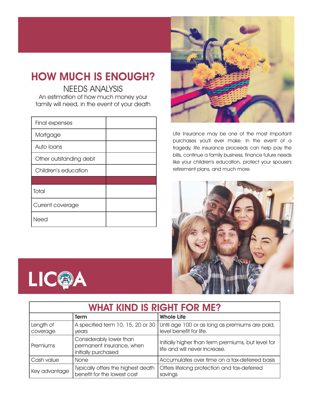### HOW MUCH IS ENOUGH?

NEEDS ANALYSIS

An estimation of how much money your family will need, in the event of your death

| Final expenses         |  |
|------------------------|--|
| Mortgage               |  |
| Auto Ioans             |  |
| Other outstanding debt |  |
| Children's education   |  |
|                        |  |
| Total                  |  |
| Current coverage       |  |
| Need                   |  |



Life Insurance may be one of the most important purchases you'll ever make. In the event of a tragedy, life insurance proceeds can help pay the bills, continue a family business, finance future needs like your children's education, protect your spouse's retirement plans, and much more.



| n                                  |
|------------------------------------|
|                                    |
| ٦<br>EЬ<br>ı<br>$\sim$<br>M.<br>м. |

| <b>WHAT KIND IS RIGHT FOR ME?</b> |                                                                             |                                                                                                             |  |
|-----------------------------------|-----------------------------------------------------------------------------|-------------------------------------------------------------------------------------------------------------|--|
|                                   | <b>Term</b>                                                                 | <b>Whole Life</b>                                                                                           |  |
| Length of<br>coverage             | vears                                                                       | A specified term 10, 15, 20 or 30 Until age 100 or as long as premiums are paid,<br>level benefit for life. |  |
| Premiums                          | Considerably lower than<br>permanent insurance, when<br>initially purchased | Initially higher than term premiums, but level for<br>life and will never increase.                         |  |
| Cash value                        | None                                                                        | Accumulates over time on a tax-deferred basis                                                               |  |
| Key advantage                     | Typically offers the highest death<br>benefit for the lowest cost           | Offers lifelong protection and tax-deferred<br>savings                                                      |  |